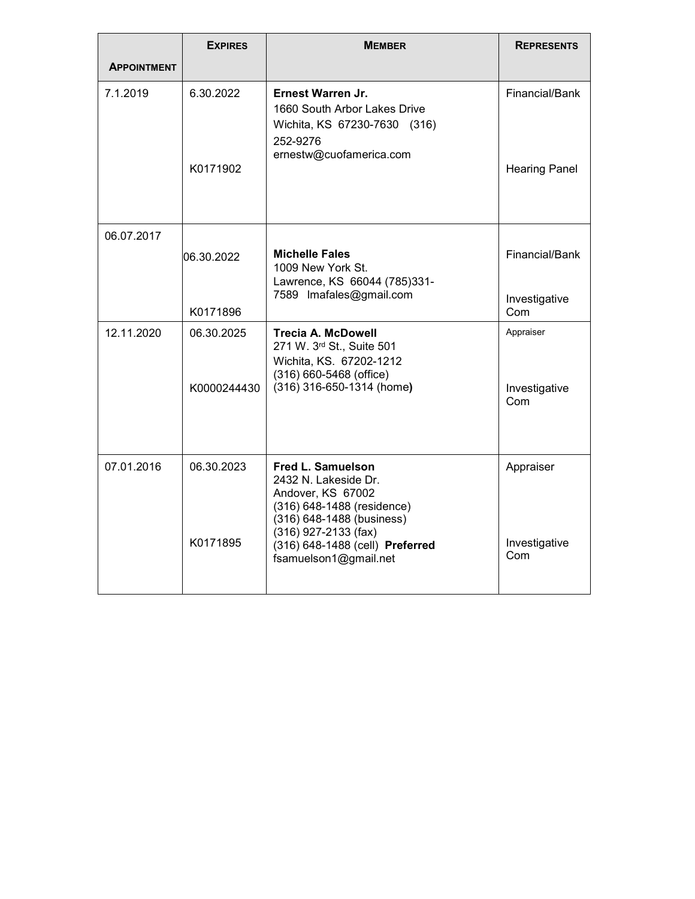|                    | <b>EXPIRES</b>         | <b>MEMBER</b>                                                                                                                                                                                                        | <b>REPRESENTS</b>                      |
|--------------------|------------------------|----------------------------------------------------------------------------------------------------------------------------------------------------------------------------------------------------------------------|----------------------------------------|
| <b>APPOINTMENT</b> |                        |                                                                                                                                                                                                                      |                                        |
| 7.1.2019           | 6.30.2022<br>K0171902  | <b>Ernest Warren Jr.</b><br>1660 South Arbor Lakes Drive<br>Wichita, KS 67230-7630 (316)<br>252-9276<br>ernestw@cuofamerica.com                                                                                      | Financial/Bank<br><b>Hearing Panel</b> |
| 06.07.2017         | 06.30.2022<br>K0171896 | <b>Michelle Fales</b><br>1009 New York St.<br>Lawrence, KS 66044 (785)331-<br>7589 Imafales@gmail.com                                                                                                                | Financial/Bank<br>Investigative<br>Com |
| 12.11.2020         | 06.30.2025             | <b>Trecia A. McDowell</b>                                                                                                                                                                                            | Appraiser                              |
|                    | K0000244430            | 271 W. 3rd St., Suite 501<br>Wichita, KS. 67202-1212<br>(316) 660-5468 (office)<br>(316) 316-650-1314 (home)                                                                                                         | Investigative<br>Com                   |
| 07.01.2016         | 06.30.2023<br>K0171895 | <b>Fred L. Samuelson</b><br>2432 N. Lakeside Dr.<br>Andover, KS 67002<br>(316) 648-1488 (residence)<br>(316) 648-1488 (business)<br>(316) 927-2133 (fax)<br>(316) 648-1488 (cell) Preferred<br>fsamuelson1@gmail.net | Appraiser<br>Investigative<br>Com      |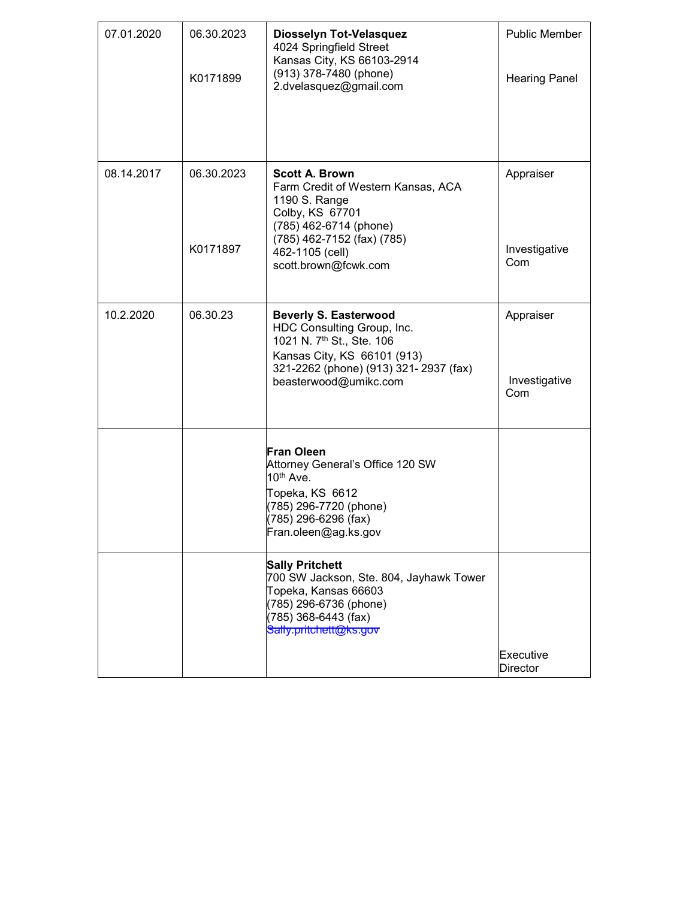| 07.01.2020 | 06.30.2023<br>K0171899 | Diosselyn Tot-Velasquez<br>4024 Springfield Street<br>Kansas City, KS 66103-2914<br>(913) 378-7480 (phone)<br>2.dvelasquez@gmail.com                                                                  | Public Member<br><b>Hearing Panel</b> |
|------------|------------------------|-------------------------------------------------------------------------------------------------------------------------------------------------------------------------------------------------------|---------------------------------------|
| 08.14.2017 | 06.30.2023<br>K0171897 | Scott A. Brown<br>Farm Credit of Western Kansas, ACA<br>1190 S. Range<br>Colby, KS 67701<br>(785) 462-6714 (phone)<br>(785) 462-7152 (fax) (785)<br>462-1105 (cell)<br>scott.brown@fcwk.com           | Appraiser<br>Investigative<br>Com     |
| 10.2.2020  | 06.30.23               | <b>Beverly S. Easterwood</b><br>HDC Consulting Group, Inc.<br>1021 N. 7 <sup>th</sup> St., Ste. 106<br>Kansas City, KS 66101 (913)<br>321-2262 (phone) (913) 321- 2937 (fax)<br>beasterwood@umikc.com | Appraiser<br>Investigative<br>Com     |
|            |                        | Fran Oleen<br>Attorney General's Office 120 SW<br>10 <sup>th</sup> Ave.<br>Topeka, KS 6612<br>(785) 296-7720 (phone)<br>(785) 296-6296 (fax)<br>Fran.oleen@ag.ks.gov                                  |                                       |
|            |                        | <b>Sally Pritchett</b><br>700 SW Jackson, Ste. 804, Jayhawk Tower<br>Topeka, Kansas 66603<br>(785) 296-6736 (phone)<br>(785) 368-6443 (fax)<br>Sally.pritchett@ks.gov                                 | Executive<br><b>Director</b>          |